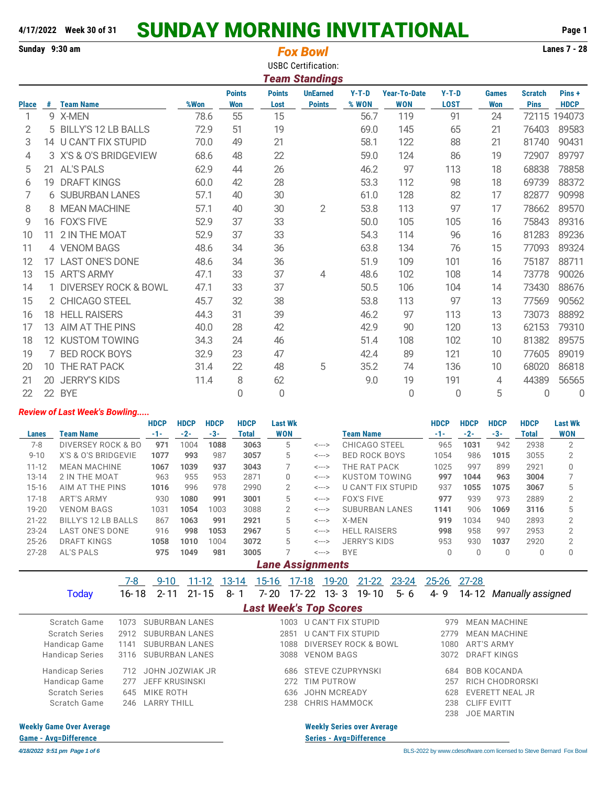## **4/17/2022 Week 30 of 31** SUNDAY MORNING INVITATIONAL **Page 1**

|              |    | Sunday 9:30 am                  |      |               | <b>Fox Bowl</b><br><b>USBC Certification:</b><br><b>Team Standings</b> |                 |         |                     | <b>Lanes 7 - 28</b> |              |                |             |
|--------------|----|---------------------------------|------|---------------|------------------------------------------------------------------------|-----------------|---------|---------------------|---------------------|--------------|----------------|-------------|
|              |    |                                 |      | <b>Points</b> | <b>Points</b>                                                          | <b>UnEarned</b> | $Y-T-D$ | <b>Year-To-Date</b> | $Y-T-D$             | <b>Games</b> | <b>Scratch</b> | Pins+       |
| <b>Place</b> | #  | <b>Team Name</b>                | %Won | <b>Won</b>    | Lost                                                                   | <b>Points</b>   | % WON   | <b>WON</b>          | <b>LOST</b>         | <b>Won</b>   | <b>Pins</b>    | <b>HDCP</b> |
|              |    | 9 X-MEN                         | 78.6 | 55            | 15                                                                     |                 | 56.7    | 119                 | 91                  | 24           | 72115          | 194073      |
| 2            |    | 5 BILLY'S 12 LB BALLS           | 72.9 | 51            | 19                                                                     |                 | 69.0    | 145                 | 65                  | 21           | 76403          | 89583       |
| 3            |    | 14 U CAN'T FIX STUPID           | 70.0 | 49            | 21                                                                     |                 | 58.1    | 122                 | 88                  | 21           | 81740          | 90431       |
| 4            |    | 3 X'S & O'S BRIDGEVIEW          | 68.6 | 48            | 22                                                                     |                 | 59.0    | 124                 | 86                  | 19           | 72907          | 89797       |
| 5            | 21 | <b>AL'S PALS</b>                | 62.9 | 44            | 26                                                                     |                 | 46.2    | 97                  | 113                 | 18           | 68838          | 78858       |
| 6            | 19 | <b>DRAFT KINGS</b>              | 60.0 | 42            | 28                                                                     |                 | 53.3    | 112                 | 98                  | 18           | 69739          | 88372       |
| 7            |    | <b>6 SUBURBAN LANES</b>         | 57.1 | 40            | 30                                                                     |                 | 61.0    | 128                 | 82                  | 17           | 82877          | 90998       |
| 8            | 8  | <b>MEAN MACHINE</b>             | 57.1 | 40            | 30                                                                     | $\overline{2}$  | 53.8    | 113                 | 97                  | 17           | 78662          | 89570       |
| 9            |    | 16 FOX'S FIVE                   | 52.9 | 37            | 33                                                                     |                 | 50.0    | 105                 | 105                 | 16           | 75843          | 89316       |
| 10           | 11 | 2 IN THE MOAT                   | 52.9 | 37            | 33                                                                     |                 | 54.3    | 114                 | 96                  | 16           | 81283          | 89236       |
| 11           |    | 4 VENOM BAGS                    | 48.6 | 34            | 36                                                                     |                 | 63.8    | 134                 | 76                  | 15           | 77093          | 89324       |
| 12           | 17 | <b>LAST ONE'S DONE</b>          | 48.6 | 34            | 36                                                                     |                 | 51.9    | 109                 | 101                 | 16           | 75187          | 88711       |
| 13           |    | 15 ART'S ARMY                   | 47.1 | 33            | 37                                                                     | 4               | 48.6    | 102                 | 108                 | 14           | 73778          | 90026       |
| 14           |    | <b>DIVERSEY ROCK &amp; BOWL</b> | 47.1 | 33            | 37                                                                     |                 | 50.5    | 106                 | 104                 | 14           | 73430          | 88676       |
| 15           |    | 2 CHICAGO STEEL                 | 45.7 | 32            | 38                                                                     |                 | 53.8    | 113                 | 97                  | 13           | 77569          | 90562       |
| 16           |    | 18 HELL RAISERS                 | 44.3 | 31            | 39                                                                     |                 | 46.2    | 97                  | 113                 | 13           | 73073          | 88892       |
| 17           | 13 | AIM AT THE PINS                 | 40.0 | 28            | 42                                                                     |                 | 42.9    | 90                  | 120                 | 13           | 62153          | 79310       |
| 18           |    | 12 KUSTOM TOWING                | 34.3 | 24            | 46                                                                     |                 | 51.4    | 108                 | 102                 | 10           | 81382          | 89575       |
| 19           | 7  | <b>BED ROCK BOYS</b>            | 32.9 | 23            | 47                                                                     |                 | 42.4    | 89                  | 121                 | 10           | 77605          | 89019       |
| 20           | 10 | THE RAT PACK                    | 31.4 | 22            | 48                                                                     | 5               | 35.2    | 74                  | 136                 | 10           | 68020          | 86818       |
| 21           | 20 | <b>JERRY'S KIDS</b>             | 11.4 | 8             | 62                                                                     |                 | 9.0     | 19                  | 191                 | 4            | 44389          | 56565       |

## *Review of Last Week's Bowling.....*

|                                                                 |                                                         | <b>HDCP</b>   | <b>HDCP</b> | <b>HDCP</b> | <b>HDCP</b>                | <b>Last Wk</b>          |                            |                       | <b>HDCP</b> | <b>HDCP</b> | <b>HDCP</b>    | <b>HDCP</b> | <b>Last Wk</b> |
|-----------------------------------------------------------------|---------------------------------------------------------|---------------|-------------|-------------|----------------------------|-------------------------|----------------------------|-----------------------|-------------|-------------|----------------|-------------|----------------|
| Lanes                                                           | Team Name                                               | $-1-$         | $-2-$       | $-3-$       | Total                      | WON                     |                            | Team Name             | $-1-$       | $-2-$       | $-3-$          | Total       | WON            |
| $7-8$                                                           | <b>DIVERSEY ROCK &amp; BO</b>                           | 971           | 1004        | 1088        | 3063                       | 5                       | $\leftarrow$ $\rightarrow$ | CHICAGO STEEL         | 965         | 1031        | 942            | 2938        | $\mathcal{P}$  |
| $9 - 10$                                                        | X'S & O'S BRIDGEVIE                                     | 1077          | 993         | 987         | 3057                       | 5                       | <--->                      | <b>BED ROCK BOYS</b>  | 1054        | 986         | 1015           | 3055        | 2              |
| $11 - 12$                                                       | <b>MEAN MACHINE</b>                                     | THE RAT PACK  | 1025        | 997         | 899                        | 2921                    | $\Omega$                   |                       |             |             |                |             |                |
| $13 - 14$                                                       | 2 IN THE MOAT                                           | KUSTOM TOWING | 997         | 1044        | 963                        | 3004                    |                            |                       |             |             |                |             |                |
| AIM AT THE PINS<br>978<br>$15 - 16$<br>996<br>2990<br>2<br>1016 |                                                         |               |             |             |                            | <--->                   | U CAN'T FIX STUPID         | 937                   | 1055        | 1075        | 3067           | 5           |                |
| $17-18$                                                         | <b>ART'S ARMY</b>                                       | 930           | 1080        | 991         | 3001                       | 5                       | <--->                      | <b>FOX'S FIVE</b>     | 977         | 939         | 973            | 2889        | 2              |
| $19 - 20$                                                       | <b>VENOM BAGS</b>                                       | 1031          | 1054        | 1003        | 3088                       | 2                       | <--->                      | <b>SUBURBAN LANES</b> | 1141        | 906         | 1069           | 3116        | 5              |
| $21 - 22$                                                       | BILLY'S 12 LB BALLS                                     | 867           | 1063        | 991         | 2921                       | 5                       | $\leftarrow$ $\rightarrow$ | X-MEN                 | 919         | 1034        | 940            | 2893        | $\mathcal{P}$  |
| $23 - 24$                                                       | <b>LAST ONE'S DONE</b>                                  | 916           | 998         | 1053        | 2967                       | 5                       | <--->                      | <b>HELL RAISERS</b>   | 998         | 958         | 997            | 2953        | $\overline{2}$ |
| $25 - 26$                                                       | <b>DRAFT KINGS</b><br>5<br>1004<br>3072<br>1058<br>1010 |               |             |             | $\leftarrow$ $\rightarrow$ | <b>JERRY'S KIDS</b>     | 953                        | 930                   | 1037        | 2920        | $\mathfrak{D}$ |             |                |
| $27 - 28$                                                       | AL'S PALS                                               | 975           | 1049        | 981         | 3005                       |                         | $\leftarrow$ $\rightarrow$ | <b>BYE</b>            | $\Omega$    |             | $\Omega$       | 0           | $\Omega$       |
|                                                                 |                                                         |               |             |             |                            | <b>Lane Assignments</b> |                            |                       |             |             |                |             |                |

22 22 BYE 0 0 0 0 5 0 0

|                                 | 7-8   | $9 - 10$              | $11 - 12$ | 13-14   | <u>15-16</u> | $17-18$                       | <u>19-20</u>        | $21 - 22$                         | $23 - 24$ | $25 - 26$ | 27-28              |                         |
|---------------------------------|-------|-----------------------|-----------|---------|--------------|-------------------------------|---------------------|-----------------------------------|-----------|-----------|--------------------|-------------------------|
| Today                           | 16-18 | $2 - 11$              | $21 - 15$ | $8 - 1$ | 7-20         | 17-22                         | $13 - 3$            | 19-10                             | $5 - 6$   | 4-9       |                    | 14-12 Manually assigned |
|                                 |       |                       |           |         |              | <b>Last Week's Top Scores</b> |                     |                                   |           |           |                    |                         |
| Scratch Game                    | 1073  | <b>SUBURBAN LANES</b> |           |         |              | 1003 U CAN'T FIX STUPID       |                     |                                   |           | 979       |                    | <b>MEAN MACHINE</b>     |
| <b>Scratch Series</b>           | 2912  | <b>SUBURBAN LANES</b> |           |         |              | 2851                          | U CAN'T FIX STUPID  |                                   |           | 2779      |                    | <b>MEAN MACHINE</b>     |
| Handicap Game                   | 1141  | <b>SUBURBAN LANES</b> |           |         |              | 1088                          |                     | DIVERSEY ROCK & BOWL              |           | 1080      |                    | <b>ART'S ARMY</b>       |
| <b>Handicap Series</b>          | 3116  | <b>SUBURBAN LANES</b> |           |         |              | 3088                          | <b>VENOM BAGS</b>   |                                   |           | 3072      |                    | DRAFT KINGS             |
| <b>Handicap Series</b>          | 712   | JOHN JOZWIAK JR       |           |         |              | 686                           | STEVE CZUPRYNSKI    |                                   |           | 684       |                    | <b>BOB KOCANDA</b>      |
| Handicap Game                   | 277   | <b>JEFF KRUSINSKI</b> |           |         |              | 272                           | TIM PUTROW          |                                   |           | 257       |                    | RICH CHODRORSKI         |
| <b>Scratch Series</b>           | 645   | MIKE ROTH             |           |         |              | 636                           | <b>JOHN MCREADY</b> |                                   |           | 628       |                    | <b>EVERETT NEAL JR</b>  |
| Scratch Game                    | 246   | <b>LARRY THILL</b>    |           |         |              | 238                           | CHRIS HAMMOCK       |                                   |           | 238       | <b>CLIFF EVITT</b> |                         |
|                                 |       |                       |           |         |              |                               |                     |                                   |           | 238       |                    | <b>JOE MARTIN</b>       |
| <b>Weekly Game Over Average</b> |       |                       |           |         |              |                               |                     | <b>Weekly Series over Average</b> |           |           |                    |                         |

**Game - Avg=Difference Series - Avg=Difference**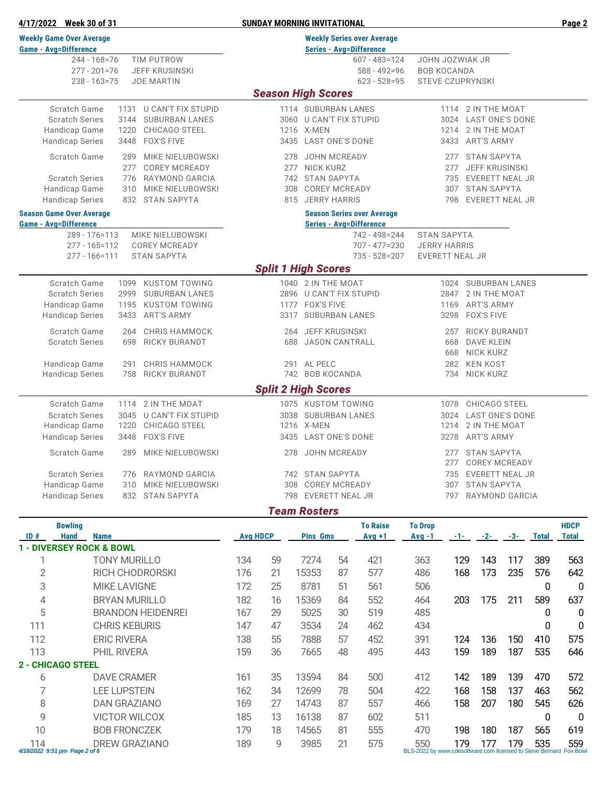| <b>Weekly Game Over Average</b><br><b>Weekly Series over Average</b><br><b>Game - Avg=Difference</b><br><b>Series - Avg=Difference</b><br>$244 - 168 = 76$<br>TIM PUTROW<br>JOHN JOZWIAK JR<br>$607 - 483 = 124$<br><b>JEFF KRUSINSKI</b><br><b>BOB KOCANDA</b><br>$277 - 201 = 76$<br>$588 - 492 = 96$<br>$238 - 163 = 75$<br><b>JOE MARTIN</b><br>$623 - 528 = 95$<br><b>STEVE CZUPRYNSKI</b><br><b>Season High Scores</b><br>Scratch Game<br>1131 U CAN'T FIX STUPID<br>1114 2 IN THE MOAT<br>1114 SUBURBAN LANES<br><b>Scratch Series</b><br><b>SUBURBAN LANES</b><br>3144<br>3060 U CAN'T FIX STUPID<br>3024 LAST ONE'S DONE<br>Handicap Game<br>CHICAGO STEEL<br>1216 X-MEN<br>2 IN THE MOAT<br>1220<br>1214<br><b>Handicap Series</b><br>3448<br><b>FOX'S FIVE</b><br>3435 LAST ONE'S DONE<br><b>ART'S ARMY</b><br>3433<br>Scratch Game<br>289<br>MIKE NIELUBOWSKI<br>278 JOHN MCREADY<br><b>STAN SAPYTA</b><br>277<br><b>COREY MCREADY</b><br>277 NICK KURZ<br>277<br>277<br><b>JEFF KRUSINSKI</b><br><b>Scratch Series</b><br>776 RAYMOND GARCIA<br>742 STAN SAPYTA<br>735 EVERETT NEAL JR<br>Handicap Game<br>MIKE NIELUBOWSKI<br>308 COREY MCREADY<br>307 STAN SAPYTA<br>310<br><b>Handicap Series</b><br>815 JERRY HARRIS<br>832 STAN SAPYTA<br>798<br>EVERETT NEAL JR<br><b>Season Game Over Average</b><br><b>Season Series over Average</b><br><b>Game - Avg=Difference</b><br><b>Series - Avg=Difference</b><br>MIKE NIELUBOWSKI<br><b>STAN SAPYTA</b><br>289 - 176=113<br>742 - 498 = 244<br>$277 - 165 = 112$<br><b>COREY MCREADY</b><br>$707 - 477 = 230$<br><b>JERRY HARRIS</b><br><b>STAN SAPYTA</b><br>735 - 528 = 207<br><b>EVERETT NEAL JR</b><br>277 - 166=111<br><b>Split 1 High Scores</b><br>Scratch Game<br>1099 KUSTOM TOWING<br>1040 2 IN THE MOAT<br>1024 SUBURBAN LANES<br><b>Scratch Series</b><br>2999<br><b>SUBURBAN LANES</b><br>2896 U CAN'T FIX STUPID<br>2847<br>2 IN THE MOAT<br>Handicap Game<br><b>KUSTOM TOWING</b><br>1177 FOX'S FIVE<br><b>ART'S ARMY</b><br>1195<br>1169<br>3317 SUBURBAN LANES<br>3298 FOX'S FIVE<br><b>Handicap Series</b><br>3433<br><b>ART'S ARMY</b><br>Scratch Game<br>264 JEFF KRUSINSKI<br><b>CHRIS HAMMOCK</b><br>257<br><b>RICKY BURANDT</b><br>264<br><b>Scratch Series</b><br><b>RICKY BURANDT</b><br>698<br>688 JASON CANTRALL<br>668<br>DAVE KLEIN<br>NICK KURZ<br>668<br>Handicap Game<br><b>CHRIS HAMMOCK</b><br>291 AL PELC<br><b>KEN KOST</b><br>291<br>282<br>742 BOB KOCANDA<br><b>Handicap Series</b><br>758<br><b>RICKY BURANDT</b><br><b>NICK KURZ</b><br>734<br><b>Split 2 High Scores</b><br>Scratch Game<br>1114 2 IN THE MOAT<br>1075 KUSTOM TOWING<br>1078 CHICAGO STEEL<br><b>Scratch Series</b><br><b>U CAN'T FIX STUPID</b><br>3038 SUBURBAN LANES<br><b>LAST ONE'S DONE</b><br>3045<br>3024<br>1216 X-MEN<br>Handicap Game<br>1220<br>CHICAGO STEEL<br>1214 2 IN THE MOAT<br><b>FOX'S FIVE</b><br>3435 LAST ONE'S DONE<br><b>Handicap Series</b><br>3448<br>3278<br>ART'S ARMY<br><b>Scratch Game</b><br>MIKE NIELUBOWSKI<br>278 JOHN MCREADY<br>277 STAN SAPYTA<br>289<br>277<br>COREY MCREADY<br><b>Scratch Series</b><br>776 RAYMOND GARCIA<br>742 STAN SAPYTA<br>EVERETT NEAL JR<br>735<br>308 COREY MCREADY<br><b>STAN SAPYTA</b><br>Handicap Game<br>MIKE NIELUBOWSKI<br>307<br>310<br><b>EVERETT NEAL JR</b><br>RAYMOND GARCIA<br><b>Handicap Series</b><br>832<br><b>STAN SAPYTA</b><br>798<br>797<br><b>Team Rosters</b><br><b>To Raise</b><br><b>To Drop</b><br><b>HDCP</b><br><b>Bowling</b><br>ID#<br><b>Avg HDCP</b><br><b>Hand</b><br><b>Name</b><br><b>Pins Gms</b><br>$Avg +1$<br><b>Total</b><br>$Avg -1$<br>$-1 - 1$<br>$-2-$<br>$-3-$<br><b>Total</b><br>1 - DIVERSEY ROCK & BOWL<br>134<br>59<br>7274<br>129<br>143<br>117<br>1<br><b>TONY MURILLO</b><br>54<br>421<br>363<br>389<br>563<br>$\overline{2}$<br>173<br>176<br>15353<br>577<br>168<br>235<br>576<br><b>RICH CHODRORSKI</b><br>21<br>87<br>486<br>642<br>3<br>25<br><b>MIKE LAVIGNE</b><br>172<br>8781<br>51<br>561<br>506<br>0<br>0<br>4<br>182<br>15369<br>552<br>175<br>211<br>589<br>637<br><b>BRYAN MURILLO</b><br>16<br>84<br>464<br>203<br>5<br>167<br>29<br>5025<br>519<br><b>BRANDON HEIDENREI</b><br>30<br>485<br>0<br>0<br>147<br>47<br>3534<br>111<br><b>CHRIS KEBURIS</b><br>24<br>462<br>434<br>0<br>0<br>112<br><b>ERIC RIVERA</b><br>138<br>55<br>7888<br>452<br>391<br>124<br>136<br>150<br>575<br>57<br>410<br>113<br>159<br>36<br>159<br>189<br>187<br>535<br>PHIL RIVERA<br>7665<br>48<br>495<br>443<br>646<br><b>2 - CHICAGO STEEL</b><br>6<br>142<br>189<br><b>DAVE CRAMER</b><br>161<br>35<br>13594<br>84<br>500<br>412<br>139<br>470<br>572<br>7<br><b>LEE LUPSTEIN</b><br>162<br>34<br>168<br>158<br>137<br>12699<br>78<br>504<br>422<br>463<br>562<br>8<br><b>DAN GRAZIANO</b><br>169<br>27<br>14743<br>158<br>207<br>180<br>545<br>626<br>87<br>557<br>466<br>9<br>185<br>13<br>16138<br>602<br>511<br>0<br>0<br><b>VICTOR WILCOX</b><br>87<br>10<br>14565<br>555<br><b>BOB FRONCZEK</b><br>179<br>18<br>81<br>470<br>198<br>180<br>187<br>565<br>619<br><b>DREW GRAZIANO</b><br>9<br>3985<br>21<br>575<br>179<br>177<br>179<br>535<br>114<br>189<br>550<br>559<br>4/18/2022 9:51 pm Page 2 of 6<br>BLS-2022 by www.cdesoftware.com licensed to Steve Bernard Fox Bowl | 4/17/2022 Week 30 of 31 | <b>SUNDAY MORNING INVITATIONAL</b> |  |  |  |  |  |  |  |  |  |  |
|----------------------------------------------------------------------------------------------------------------------------------------------------------------------------------------------------------------------------------------------------------------------------------------------------------------------------------------------------------------------------------------------------------------------------------------------------------------------------------------------------------------------------------------------------------------------------------------------------------------------------------------------------------------------------------------------------------------------------------------------------------------------------------------------------------------------------------------------------------------------------------------------------------------------------------------------------------------------------------------------------------------------------------------------------------------------------------------------------------------------------------------------------------------------------------------------------------------------------------------------------------------------------------------------------------------------------------------------------------------------------------------------------------------------------------------------------------------------------------------------------------------------------------------------------------------------------------------------------------------------------------------------------------------------------------------------------------------------------------------------------------------------------------------------------------------------------------------------------------------------------------------------------------------------------------------------------------------------------------------------------------------------------------------------------------------------------------------------------------------------------------------------------------------------------------------------------------------------------------------------------------------------------------------------------------------------------------------------------------------------------------------------------------------------------------------------------------------------------------------------------------------------------------------------------------------------------------------------------------------------------------------------------------------------------------------------------------------------------------------------------------------------------------------------------------------------------------------------------------------------------------------------------------------------------------------------------------------------------------------------------------------------------------------------------------------------------------------------------------------------------------------------------------------------------------------------------------------------------------------------------------------------------------------------------------------------------------------------------------------------------------------------------------------------------------------------------------------------------------------------------------------------------------------------------------------------------------------------------------------------------------------------------------------------------------------------------------------------------------------------------------------------------------------------------------------------------------------------------------------------------------------------------------------------------------------------------------------------------------------------------------------------------------------------------------------------------------------------------------------------------------------------------------------------------------------------------------------------------------------------------------------------------------------------------------------------------------------------------------------------------------------------------------------------------------------------------------------------------------------------------------------------------------------------------------------------------------------------------------------------------------------------------------------------------------------------------------------------------------------------------------------------------------------------------------------------------------------------------------------------------------------------------------------------------------------------------------------------------------------------------------------------------------------------------------------------------------------------------------------------------------------------------------------------------------------------------------------------------------------------------------------------------------|-------------------------|------------------------------------|--|--|--|--|--|--|--|--|--|--|
|                                                                                                                                                                                                                                                                                                                                                                                                                                                                                                                                                                                                                                                                                                                                                                                                                                                                                                                                                                                                                                                                                                                                                                                                                                                                                                                                                                                                                                                                                                                                                                                                                                                                                                                                                                                                                                                                                                                                                                                                                                                                                                                                                                                                                                                                                                                                                                                                                                                                                                                                                                                                                                                                                                                                                                                                                                                                                                                                                                                                                                                                                                                                                                                                                                                                                                                                                                                                                                                                                                                                                                                                                                                                                                                                                                                                                                                                                                                                                                                                                                                                                                                                                                                                                                                                                                                                                                                                                                                                                                                                                                                                                                                                                                                                                                                                                                                                                                                                                                                                                                                                                                                                                                                                                                                                                  |                         |                                    |  |  |  |  |  |  |  |  |  |  |
|                                                                                                                                                                                                                                                                                                                                                                                                                                                                                                                                                                                                                                                                                                                                                                                                                                                                                                                                                                                                                                                                                                                                                                                                                                                                                                                                                                                                                                                                                                                                                                                                                                                                                                                                                                                                                                                                                                                                                                                                                                                                                                                                                                                                                                                                                                                                                                                                                                                                                                                                                                                                                                                                                                                                                                                                                                                                                                                                                                                                                                                                                                                                                                                                                                                                                                                                                                                                                                                                                                                                                                                                                                                                                                                                                                                                                                                                                                                                                                                                                                                                                                                                                                                                                                                                                                                                                                                                                                                                                                                                                                                                                                                                                                                                                                                                                                                                                                                                                                                                                                                                                                                                                                                                                                                                                  |                         |                                    |  |  |  |  |  |  |  |  |  |  |
|                                                                                                                                                                                                                                                                                                                                                                                                                                                                                                                                                                                                                                                                                                                                                                                                                                                                                                                                                                                                                                                                                                                                                                                                                                                                                                                                                                                                                                                                                                                                                                                                                                                                                                                                                                                                                                                                                                                                                                                                                                                                                                                                                                                                                                                                                                                                                                                                                                                                                                                                                                                                                                                                                                                                                                                                                                                                                                                                                                                                                                                                                                                                                                                                                                                                                                                                                                                                                                                                                                                                                                                                                                                                                                                                                                                                                                                                                                                                                                                                                                                                                                                                                                                                                                                                                                                                                                                                                                                                                                                                                                                                                                                                                                                                                                                                                                                                                                                                                                                                                                                                                                                                                                                                                                                                                  |                         |                                    |  |  |  |  |  |  |  |  |  |  |
|                                                                                                                                                                                                                                                                                                                                                                                                                                                                                                                                                                                                                                                                                                                                                                                                                                                                                                                                                                                                                                                                                                                                                                                                                                                                                                                                                                                                                                                                                                                                                                                                                                                                                                                                                                                                                                                                                                                                                                                                                                                                                                                                                                                                                                                                                                                                                                                                                                                                                                                                                                                                                                                                                                                                                                                                                                                                                                                                                                                                                                                                                                                                                                                                                                                                                                                                                                                                                                                                                                                                                                                                                                                                                                                                                                                                                                                                                                                                                                                                                                                                                                                                                                                                                                                                                                                                                                                                                                                                                                                                                                                                                                                                                                                                                                                                                                                                                                                                                                                                                                                                                                                                                                                                                                                                                  |                         |                                    |  |  |  |  |  |  |  |  |  |  |
|                                                                                                                                                                                                                                                                                                                                                                                                                                                                                                                                                                                                                                                                                                                                                                                                                                                                                                                                                                                                                                                                                                                                                                                                                                                                                                                                                                                                                                                                                                                                                                                                                                                                                                                                                                                                                                                                                                                                                                                                                                                                                                                                                                                                                                                                                                                                                                                                                                                                                                                                                                                                                                                                                                                                                                                                                                                                                                                                                                                                                                                                                                                                                                                                                                                                                                                                                                                                                                                                                                                                                                                                                                                                                                                                                                                                                                                                                                                                                                                                                                                                                                                                                                                                                                                                                                                                                                                                                                                                                                                                                                                                                                                                                                                                                                                                                                                                                                                                                                                                                                                                                                                                                                                                                                                                                  |                         |                                    |  |  |  |  |  |  |  |  |  |  |
|                                                                                                                                                                                                                                                                                                                                                                                                                                                                                                                                                                                                                                                                                                                                                                                                                                                                                                                                                                                                                                                                                                                                                                                                                                                                                                                                                                                                                                                                                                                                                                                                                                                                                                                                                                                                                                                                                                                                                                                                                                                                                                                                                                                                                                                                                                                                                                                                                                                                                                                                                                                                                                                                                                                                                                                                                                                                                                                                                                                                                                                                                                                                                                                                                                                                                                                                                                                                                                                                                                                                                                                                                                                                                                                                                                                                                                                                                                                                                                                                                                                                                                                                                                                                                                                                                                                                                                                                                                                                                                                                                                                                                                                                                                                                                                                                                                                                                                                                                                                                                                                                                                                                                                                                                                                                                  |                         |                                    |  |  |  |  |  |  |  |  |  |  |
|                                                                                                                                                                                                                                                                                                                                                                                                                                                                                                                                                                                                                                                                                                                                                                                                                                                                                                                                                                                                                                                                                                                                                                                                                                                                                                                                                                                                                                                                                                                                                                                                                                                                                                                                                                                                                                                                                                                                                                                                                                                                                                                                                                                                                                                                                                                                                                                                                                                                                                                                                                                                                                                                                                                                                                                                                                                                                                                                                                                                                                                                                                                                                                                                                                                                                                                                                                                                                                                                                                                                                                                                                                                                                                                                                                                                                                                                                                                                                                                                                                                                                                                                                                                                                                                                                                                                                                                                                                                                                                                                                                                                                                                                                                                                                                                                                                                                                                                                                                                                                                                                                                                                                                                                                                                                                  |                         |                                    |  |  |  |  |  |  |  |  |  |  |
|                                                                                                                                                                                                                                                                                                                                                                                                                                                                                                                                                                                                                                                                                                                                                                                                                                                                                                                                                                                                                                                                                                                                                                                                                                                                                                                                                                                                                                                                                                                                                                                                                                                                                                                                                                                                                                                                                                                                                                                                                                                                                                                                                                                                                                                                                                                                                                                                                                                                                                                                                                                                                                                                                                                                                                                                                                                                                                                                                                                                                                                                                                                                                                                                                                                                                                                                                                                                                                                                                                                                                                                                                                                                                                                                                                                                                                                                                                                                                                                                                                                                                                                                                                                                                                                                                                                                                                                                                                                                                                                                                                                                                                                                                                                                                                                                                                                                                                                                                                                                                                                                                                                                                                                                                                                                                  |                         |                                    |  |  |  |  |  |  |  |  |  |  |
|                                                                                                                                                                                                                                                                                                                                                                                                                                                                                                                                                                                                                                                                                                                                                                                                                                                                                                                                                                                                                                                                                                                                                                                                                                                                                                                                                                                                                                                                                                                                                                                                                                                                                                                                                                                                                                                                                                                                                                                                                                                                                                                                                                                                                                                                                                                                                                                                                                                                                                                                                                                                                                                                                                                                                                                                                                                                                                                                                                                                                                                                                                                                                                                                                                                                                                                                                                                                                                                                                                                                                                                                                                                                                                                                                                                                                                                                                                                                                                                                                                                                                                                                                                                                                                                                                                                                                                                                                                                                                                                                                                                                                                                                                                                                                                                                                                                                                                                                                                                                                                                                                                                                                                                                                                                                                  |                         |                                    |  |  |  |  |  |  |  |  |  |  |
|                                                                                                                                                                                                                                                                                                                                                                                                                                                                                                                                                                                                                                                                                                                                                                                                                                                                                                                                                                                                                                                                                                                                                                                                                                                                                                                                                                                                                                                                                                                                                                                                                                                                                                                                                                                                                                                                                                                                                                                                                                                                                                                                                                                                                                                                                                                                                                                                                                                                                                                                                                                                                                                                                                                                                                                                                                                                                                                                                                                                                                                                                                                                                                                                                                                                                                                                                                                                                                                                                                                                                                                                                                                                                                                                                                                                                                                                                                                                                                                                                                                                                                                                                                                                                                                                                                                                                                                                                                                                                                                                                                                                                                                                                                                                                                                                                                                                                                                                                                                                                                                                                                                                                                                                                                                                                  |                         |                                    |  |  |  |  |  |  |  |  |  |  |
|                                                                                                                                                                                                                                                                                                                                                                                                                                                                                                                                                                                                                                                                                                                                                                                                                                                                                                                                                                                                                                                                                                                                                                                                                                                                                                                                                                                                                                                                                                                                                                                                                                                                                                                                                                                                                                                                                                                                                                                                                                                                                                                                                                                                                                                                                                                                                                                                                                                                                                                                                                                                                                                                                                                                                                                                                                                                                                                                                                                                                                                                                                                                                                                                                                                                                                                                                                                                                                                                                                                                                                                                                                                                                                                                                                                                                                                                                                                                                                                                                                                                                                                                                                                                                                                                                                                                                                                                                                                                                                                                                                                                                                                                                                                                                                                                                                                                                                                                                                                                                                                                                                                                                                                                                                                                                  |                         |                                    |  |  |  |  |  |  |  |  |  |  |
|                                                                                                                                                                                                                                                                                                                                                                                                                                                                                                                                                                                                                                                                                                                                                                                                                                                                                                                                                                                                                                                                                                                                                                                                                                                                                                                                                                                                                                                                                                                                                                                                                                                                                                                                                                                                                                                                                                                                                                                                                                                                                                                                                                                                                                                                                                                                                                                                                                                                                                                                                                                                                                                                                                                                                                                                                                                                                                                                                                                                                                                                                                                                                                                                                                                                                                                                                                                                                                                                                                                                                                                                                                                                                                                                                                                                                                                                                                                                                                                                                                                                                                                                                                                                                                                                                                                                                                                                                                                                                                                                                                                                                                                                                                                                                                                                                                                                                                                                                                                                                                                                                                                                                                                                                                                                                  |                         |                                    |  |  |  |  |  |  |  |  |  |  |
|                                                                                                                                                                                                                                                                                                                                                                                                                                                                                                                                                                                                                                                                                                                                                                                                                                                                                                                                                                                                                                                                                                                                                                                                                                                                                                                                                                                                                                                                                                                                                                                                                                                                                                                                                                                                                                                                                                                                                                                                                                                                                                                                                                                                                                                                                                                                                                                                                                                                                                                                                                                                                                                                                                                                                                                                                                                                                                                                                                                                                                                                                                                                                                                                                                                                                                                                                                                                                                                                                                                                                                                                                                                                                                                                                                                                                                                                                                                                                                                                                                                                                                                                                                                                                                                                                                                                                                                                                                                                                                                                                                                                                                                                                                                                                                                                                                                                                                                                                                                                                                                                                                                                                                                                                                                                                  |                         |                                    |  |  |  |  |  |  |  |  |  |  |
|                                                                                                                                                                                                                                                                                                                                                                                                                                                                                                                                                                                                                                                                                                                                                                                                                                                                                                                                                                                                                                                                                                                                                                                                                                                                                                                                                                                                                                                                                                                                                                                                                                                                                                                                                                                                                                                                                                                                                                                                                                                                                                                                                                                                                                                                                                                                                                                                                                                                                                                                                                                                                                                                                                                                                                                                                                                                                                                                                                                                                                                                                                                                                                                                                                                                                                                                                                                                                                                                                                                                                                                                                                                                                                                                                                                                                                                                                                                                                                                                                                                                                                                                                                                                                                                                                                                                                                                                                                                                                                                                                                                                                                                                                                                                                                                                                                                                                                                                                                                                                                                                                                                                                                                                                                                                                  |                         |                                    |  |  |  |  |  |  |  |  |  |  |
|                                                                                                                                                                                                                                                                                                                                                                                                                                                                                                                                                                                                                                                                                                                                                                                                                                                                                                                                                                                                                                                                                                                                                                                                                                                                                                                                                                                                                                                                                                                                                                                                                                                                                                                                                                                                                                                                                                                                                                                                                                                                                                                                                                                                                                                                                                                                                                                                                                                                                                                                                                                                                                                                                                                                                                                                                                                                                                                                                                                                                                                                                                                                                                                                                                                                                                                                                                                                                                                                                                                                                                                                                                                                                                                                                                                                                                                                                                                                                                                                                                                                                                                                                                                                                                                                                                                                                                                                                                                                                                                                                                                                                                                                                                                                                                                                                                                                                                                                                                                                                                                                                                                                                                                                                                                                                  |                         |                                    |  |  |  |  |  |  |  |  |  |  |
|                                                                                                                                                                                                                                                                                                                                                                                                                                                                                                                                                                                                                                                                                                                                                                                                                                                                                                                                                                                                                                                                                                                                                                                                                                                                                                                                                                                                                                                                                                                                                                                                                                                                                                                                                                                                                                                                                                                                                                                                                                                                                                                                                                                                                                                                                                                                                                                                                                                                                                                                                                                                                                                                                                                                                                                                                                                                                                                                                                                                                                                                                                                                                                                                                                                                                                                                                                                                                                                                                                                                                                                                                                                                                                                                                                                                                                                                                                                                                                                                                                                                                                                                                                                                                                                                                                                                                                                                                                                                                                                                                                                                                                                                                                                                                                                                                                                                                                                                                                                                                                                                                                                                                                                                                                                                                  |                         |                                    |  |  |  |  |  |  |  |  |  |  |
|                                                                                                                                                                                                                                                                                                                                                                                                                                                                                                                                                                                                                                                                                                                                                                                                                                                                                                                                                                                                                                                                                                                                                                                                                                                                                                                                                                                                                                                                                                                                                                                                                                                                                                                                                                                                                                                                                                                                                                                                                                                                                                                                                                                                                                                                                                                                                                                                                                                                                                                                                                                                                                                                                                                                                                                                                                                                                                                                                                                                                                                                                                                                                                                                                                                                                                                                                                                                                                                                                                                                                                                                                                                                                                                                                                                                                                                                                                                                                                                                                                                                                                                                                                                                                                                                                                                                                                                                                                                                                                                                                                                                                                                                                                                                                                                                                                                                                                                                                                                                                                                                                                                                                                                                                                                                                  |                         |                                    |  |  |  |  |  |  |  |  |  |  |
|                                                                                                                                                                                                                                                                                                                                                                                                                                                                                                                                                                                                                                                                                                                                                                                                                                                                                                                                                                                                                                                                                                                                                                                                                                                                                                                                                                                                                                                                                                                                                                                                                                                                                                                                                                                                                                                                                                                                                                                                                                                                                                                                                                                                                                                                                                                                                                                                                                                                                                                                                                                                                                                                                                                                                                                                                                                                                                                                                                                                                                                                                                                                                                                                                                                                                                                                                                                                                                                                                                                                                                                                                                                                                                                                                                                                                                                                                                                                                                                                                                                                                                                                                                                                                                                                                                                                                                                                                                                                                                                                                                                                                                                                                                                                                                                                                                                                                                                                                                                                                                                                                                                                                                                                                                                                                  |                         |                                    |  |  |  |  |  |  |  |  |  |  |
|                                                                                                                                                                                                                                                                                                                                                                                                                                                                                                                                                                                                                                                                                                                                                                                                                                                                                                                                                                                                                                                                                                                                                                                                                                                                                                                                                                                                                                                                                                                                                                                                                                                                                                                                                                                                                                                                                                                                                                                                                                                                                                                                                                                                                                                                                                                                                                                                                                                                                                                                                                                                                                                                                                                                                                                                                                                                                                                                                                                                                                                                                                                                                                                                                                                                                                                                                                                                                                                                                                                                                                                                                                                                                                                                                                                                                                                                                                                                                                                                                                                                                                                                                                                                                                                                                                                                                                                                                                                                                                                                                                                                                                                                                                                                                                                                                                                                                                                                                                                                                                                                                                                                                                                                                                                                                  |                         |                                    |  |  |  |  |  |  |  |  |  |  |
|                                                                                                                                                                                                                                                                                                                                                                                                                                                                                                                                                                                                                                                                                                                                                                                                                                                                                                                                                                                                                                                                                                                                                                                                                                                                                                                                                                                                                                                                                                                                                                                                                                                                                                                                                                                                                                                                                                                                                                                                                                                                                                                                                                                                                                                                                                                                                                                                                                                                                                                                                                                                                                                                                                                                                                                                                                                                                                                                                                                                                                                                                                                                                                                                                                                                                                                                                                                                                                                                                                                                                                                                                                                                                                                                                                                                                                                                                                                                                                                                                                                                                                                                                                                                                                                                                                                                                                                                                                                                                                                                                                                                                                                                                                                                                                                                                                                                                                                                                                                                                                                                                                                                                                                                                                                                                  |                         |                                    |  |  |  |  |  |  |  |  |  |  |
|                                                                                                                                                                                                                                                                                                                                                                                                                                                                                                                                                                                                                                                                                                                                                                                                                                                                                                                                                                                                                                                                                                                                                                                                                                                                                                                                                                                                                                                                                                                                                                                                                                                                                                                                                                                                                                                                                                                                                                                                                                                                                                                                                                                                                                                                                                                                                                                                                                                                                                                                                                                                                                                                                                                                                                                                                                                                                                                                                                                                                                                                                                                                                                                                                                                                                                                                                                                                                                                                                                                                                                                                                                                                                                                                                                                                                                                                                                                                                                                                                                                                                                                                                                                                                                                                                                                                                                                                                                                                                                                                                                                                                                                                                                                                                                                                                                                                                                                                                                                                                                                                                                                                                                                                                                                                                  |                         |                                    |  |  |  |  |  |  |  |  |  |  |
|                                                                                                                                                                                                                                                                                                                                                                                                                                                                                                                                                                                                                                                                                                                                                                                                                                                                                                                                                                                                                                                                                                                                                                                                                                                                                                                                                                                                                                                                                                                                                                                                                                                                                                                                                                                                                                                                                                                                                                                                                                                                                                                                                                                                                                                                                                                                                                                                                                                                                                                                                                                                                                                                                                                                                                                                                                                                                                                                                                                                                                                                                                                                                                                                                                                                                                                                                                                                                                                                                                                                                                                                                                                                                                                                                                                                                                                                                                                                                                                                                                                                                                                                                                                                                                                                                                                                                                                                                                                                                                                                                                                                                                                                                                                                                                                                                                                                                                                                                                                                                                                                                                                                                                                                                                                                                  |                         |                                    |  |  |  |  |  |  |  |  |  |  |
|                                                                                                                                                                                                                                                                                                                                                                                                                                                                                                                                                                                                                                                                                                                                                                                                                                                                                                                                                                                                                                                                                                                                                                                                                                                                                                                                                                                                                                                                                                                                                                                                                                                                                                                                                                                                                                                                                                                                                                                                                                                                                                                                                                                                                                                                                                                                                                                                                                                                                                                                                                                                                                                                                                                                                                                                                                                                                                                                                                                                                                                                                                                                                                                                                                                                                                                                                                                                                                                                                                                                                                                                                                                                                                                                                                                                                                                                                                                                                                                                                                                                                                                                                                                                                                                                                                                                                                                                                                                                                                                                                                                                                                                                                                                                                                                                                                                                                                                                                                                                                                                                                                                                                                                                                                                                                  |                         |                                    |  |  |  |  |  |  |  |  |  |  |
|                                                                                                                                                                                                                                                                                                                                                                                                                                                                                                                                                                                                                                                                                                                                                                                                                                                                                                                                                                                                                                                                                                                                                                                                                                                                                                                                                                                                                                                                                                                                                                                                                                                                                                                                                                                                                                                                                                                                                                                                                                                                                                                                                                                                                                                                                                                                                                                                                                                                                                                                                                                                                                                                                                                                                                                                                                                                                                                                                                                                                                                                                                                                                                                                                                                                                                                                                                                                                                                                                                                                                                                                                                                                                                                                                                                                                                                                                                                                                                                                                                                                                                                                                                                                                                                                                                                                                                                                                                                                                                                                                                                                                                                                                                                                                                                                                                                                                                                                                                                                                                                                                                                                                                                                                                                                                  |                         |                                    |  |  |  |  |  |  |  |  |  |  |
|                                                                                                                                                                                                                                                                                                                                                                                                                                                                                                                                                                                                                                                                                                                                                                                                                                                                                                                                                                                                                                                                                                                                                                                                                                                                                                                                                                                                                                                                                                                                                                                                                                                                                                                                                                                                                                                                                                                                                                                                                                                                                                                                                                                                                                                                                                                                                                                                                                                                                                                                                                                                                                                                                                                                                                                                                                                                                                                                                                                                                                                                                                                                                                                                                                                                                                                                                                                                                                                                                                                                                                                                                                                                                                                                                                                                                                                                                                                                                                                                                                                                                                                                                                                                                                                                                                                                                                                                                                                                                                                                                                                                                                                                                                                                                                                                                                                                                                                                                                                                                                                                                                                                                                                                                                                                                  |                         |                                    |  |  |  |  |  |  |  |  |  |  |
|                                                                                                                                                                                                                                                                                                                                                                                                                                                                                                                                                                                                                                                                                                                                                                                                                                                                                                                                                                                                                                                                                                                                                                                                                                                                                                                                                                                                                                                                                                                                                                                                                                                                                                                                                                                                                                                                                                                                                                                                                                                                                                                                                                                                                                                                                                                                                                                                                                                                                                                                                                                                                                                                                                                                                                                                                                                                                                                                                                                                                                                                                                                                                                                                                                                                                                                                                                                                                                                                                                                                                                                                                                                                                                                                                                                                                                                                                                                                                                                                                                                                                                                                                                                                                                                                                                                                                                                                                                                                                                                                                                                                                                                                                                                                                                                                                                                                                                                                                                                                                                                                                                                                                                                                                                                                                  |                         |                                    |  |  |  |  |  |  |  |  |  |  |
|                                                                                                                                                                                                                                                                                                                                                                                                                                                                                                                                                                                                                                                                                                                                                                                                                                                                                                                                                                                                                                                                                                                                                                                                                                                                                                                                                                                                                                                                                                                                                                                                                                                                                                                                                                                                                                                                                                                                                                                                                                                                                                                                                                                                                                                                                                                                                                                                                                                                                                                                                                                                                                                                                                                                                                                                                                                                                                                                                                                                                                                                                                                                                                                                                                                                                                                                                                                                                                                                                                                                                                                                                                                                                                                                                                                                                                                                                                                                                                                                                                                                                                                                                                                                                                                                                                                                                                                                                                                                                                                                                                                                                                                                                                                                                                                                                                                                                                                                                                                                                                                                                                                                                                                                                                                                                  |                         |                                    |  |  |  |  |  |  |  |  |  |  |
|                                                                                                                                                                                                                                                                                                                                                                                                                                                                                                                                                                                                                                                                                                                                                                                                                                                                                                                                                                                                                                                                                                                                                                                                                                                                                                                                                                                                                                                                                                                                                                                                                                                                                                                                                                                                                                                                                                                                                                                                                                                                                                                                                                                                                                                                                                                                                                                                                                                                                                                                                                                                                                                                                                                                                                                                                                                                                                                                                                                                                                                                                                                                                                                                                                                                                                                                                                                                                                                                                                                                                                                                                                                                                                                                                                                                                                                                                                                                                                                                                                                                                                                                                                                                                                                                                                                                                                                                                                                                                                                                                                                                                                                                                                                                                                                                                                                                                                                                                                                                                                                                                                                                                                                                                                                                                  |                         |                                    |  |  |  |  |  |  |  |  |  |  |
|                                                                                                                                                                                                                                                                                                                                                                                                                                                                                                                                                                                                                                                                                                                                                                                                                                                                                                                                                                                                                                                                                                                                                                                                                                                                                                                                                                                                                                                                                                                                                                                                                                                                                                                                                                                                                                                                                                                                                                                                                                                                                                                                                                                                                                                                                                                                                                                                                                                                                                                                                                                                                                                                                                                                                                                                                                                                                                                                                                                                                                                                                                                                                                                                                                                                                                                                                                                                                                                                                                                                                                                                                                                                                                                                                                                                                                                                                                                                                                                                                                                                                                                                                                                                                                                                                                                                                                                                                                                                                                                                                                                                                                                                                                                                                                                                                                                                                                                                                                                                                                                                                                                                                                                                                                                                                  |                         |                                    |  |  |  |  |  |  |  |  |  |  |
|                                                                                                                                                                                                                                                                                                                                                                                                                                                                                                                                                                                                                                                                                                                                                                                                                                                                                                                                                                                                                                                                                                                                                                                                                                                                                                                                                                                                                                                                                                                                                                                                                                                                                                                                                                                                                                                                                                                                                                                                                                                                                                                                                                                                                                                                                                                                                                                                                                                                                                                                                                                                                                                                                                                                                                                                                                                                                                                                                                                                                                                                                                                                                                                                                                                                                                                                                                                                                                                                                                                                                                                                                                                                                                                                                                                                                                                                                                                                                                                                                                                                                                                                                                                                                                                                                                                                                                                                                                                                                                                                                                                                                                                                                                                                                                                                                                                                                                                                                                                                                                                                                                                                                                                                                                                                                  |                         |                                    |  |  |  |  |  |  |  |  |  |  |
|                                                                                                                                                                                                                                                                                                                                                                                                                                                                                                                                                                                                                                                                                                                                                                                                                                                                                                                                                                                                                                                                                                                                                                                                                                                                                                                                                                                                                                                                                                                                                                                                                                                                                                                                                                                                                                                                                                                                                                                                                                                                                                                                                                                                                                                                                                                                                                                                                                                                                                                                                                                                                                                                                                                                                                                                                                                                                                                                                                                                                                                                                                                                                                                                                                                                                                                                                                                                                                                                                                                                                                                                                                                                                                                                                                                                                                                                                                                                                                                                                                                                                                                                                                                                                                                                                                                                                                                                                                                                                                                                                                                                                                                                                                                                                                                                                                                                                                                                                                                                                                                                                                                                                                                                                                                                                  |                         |                                    |  |  |  |  |  |  |  |  |  |  |
|                                                                                                                                                                                                                                                                                                                                                                                                                                                                                                                                                                                                                                                                                                                                                                                                                                                                                                                                                                                                                                                                                                                                                                                                                                                                                                                                                                                                                                                                                                                                                                                                                                                                                                                                                                                                                                                                                                                                                                                                                                                                                                                                                                                                                                                                                                                                                                                                                                                                                                                                                                                                                                                                                                                                                                                                                                                                                                                                                                                                                                                                                                                                                                                                                                                                                                                                                                                                                                                                                                                                                                                                                                                                                                                                                                                                                                                                                                                                                                                                                                                                                                                                                                                                                                                                                                                                                                                                                                                                                                                                                                                                                                                                                                                                                                                                                                                                                                                                                                                                                                                                                                                                                                                                                                                                                  |                         |                                    |  |  |  |  |  |  |  |  |  |  |
|                                                                                                                                                                                                                                                                                                                                                                                                                                                                                                                                                                                                                                                                                                                                                                                                                                                                                                                                                                                                                                                                                                                                                                                                                                                                                                                                                                                                                                                                                                                                                                                                                                                                                                                                                                                                                                                                                                                                                                                                                                                                                                                                                                                                                                                                                                                                                                                                                                                                                                                                                                                                                                                                                                                                                                                                                                                                                                                                                                                                                                                                                                                                                                                                                                                                                                                                                                                                                                                                                                                                                                                                                                                                                                                                                                                                                                                                                                                                                                                                                                                                                                                                                                                                                                                                                                                                                                                                                                                                                                                                                                                                                                                                                                                                                                                                                                                                                                                                                                                                                                                                                                                                                                                                                                                                                  |                         |                                    |  |  |  |  |  |  |  |  |  |  |
|                                                                                                                                                                                                                                                                                                                                                                                                                                                                                                                                                                                                                                                                                                                                                                                                                                                                                                                                                                                                                                                                                                                                                                                                                                                                                                                                                                                                                                                                                                                                                                                                                                                                                                                                                                                                                                                                                                                                                                                                                                                                                                                                                                                                                                                                                                                                                                                                                                                                                                                                                                                                                                                                                                                                                                                                                                                                                                                                                                                                                                                                                                                                                                                                                                                                                                                                                                                                                                                                                                                                                                                                                                                                                                                                                                                                                                                                                                                                                                                                                                                                                                                                                                                                                                                                                                                                                                                                                                                                                                                                                                                                                                                                                                                                                                                                                                                                                                                                                                                                                                                                                                                                                                                                                                                                                  |                         |                                    |  |  |  |  |  |  |  |  |  |  |
|                                                                                                                                                                                                                                                                                                                                                                                                                                                                                                                                                                                                                                                                                                                                                                                                                                                                                                                                                                                                                                                                                                                                                                                                                                                                                                                                                                                                                                                                                                                                                                                                                                                                                                                                                                                                                                                                                                                                                                                                                                                                                                                                                                                                                                                                                                                                                                                                                                                                                                                                                                                                                                                                                                                                                                                                                                                                                                                                                                                                                                                                                                                                                                                                                                                                                                                                                                                                                                                                                                                                                                                                                                                                                                                                                                                                                                                                                                                                                                                                                                                                                                                                                                                                                                                                                                                                                                                                                                                                                                                                                                                                                                                                                                                                                                                                                                                                                                                                                                                                                                                                                                                                                                                                                                                                                  |                         |                                    |  |  |  |  |  |  |  |  |  |  |
|                                                                                                                                                                                                                                                                                                                                                                                                                                                                                                                                                                                                                                                                                                                                                                                                                                                                                                                                                                                                                                                                                                                                                                                                                                                                                                                                                                                                                                                                                                                                                                                                                                                                                                                                                                                                                                                                                                                                                                                                                                                                                                                                                                                                                                                                                                                                                                                                                                                                                                                                                                                                                                                                                                                                                                                                                                                                                                                                                                                                                                                                                                                                                                                                                                                                                                                                                                                                                                                                                                                                                                                                                                                                                                                                                                                                                                                                                                                                                                                                                                                                                                                                                                                                                                                                                                                                                                                                                                                                                                                                                                                                                                                                                                                                                                                                                                                                                                                                                                                                                                                                                                                                                                                                                                                                                  |                         |                                    |  |  |  |  |  |  |  |  |  |  |
|                                                                                                                                                                                                                                                                                                                                                                                                                                                                                                                                                                                                                                                                                                                                                                                                                                                                                                                                                                                                                                                                                                                                                                                                                                                                                                                                                                                                                                                                                                                                                                                                                                                                                                                                                                                                                                                                                                                                                                                                                                                                                                                                                                                                                                                                                                                                                                                                                                                                                                                                                                                                                                                                                                                                                                                                                                                                                                                                                                                                                                                                                                                                                                                                                                                                                                                                                                                                                                                                                                                                                                                                                                                                                                                                                                                                                                                                                                                                                                                                                                                                                                                                                                                                                                                                                                                                                                                                                                                                                                                                                                                                                                                                                                                                                                                                                                                                                                                                                                                                                                                                                                                                                                                                                                                                                  |                         |                                    |  |  |  |  |  |  |  |  |  |  |
|                                                                                                                                                                                                                                                                                                                                                                                                                                                                                                                                                                                                                                                                                                                                                                                                                                                                                                                                                                                                                                                                                                                                                                                                                                                                                                                                                                                                                                                                                                                                                                                                                                                                                                                                                                                                                                                                                                                                                                                                                                                                                                                                                                                                                                                                                                                                                                                                                                                                                                                                                                                                                                                                                                                                                                                                                                                                                                                                                                                                                                                                                                                                                                                                                                                                                                                                                                                                                                                                                                                                                                                                                                                                                                                                                                                                                                                                                                                                                                                                                                                                                                                                                                                                                                                                                                                                                                                                                                                                                                                                                                                                                                                                                                                                                                                                                                                                                                                                                                                                                                                                                                                                                                                                                                                                                  |                         |                                    |  |  |  |  |  |  |  |  |  |  |
|                                                                                                                                                                                                                                                                                                                                                                                                                                                                                                                                                                                                                                                                                                                                                                                                                                                                                                                                                                                                                                                                                                                                                                                                                                                                                                                                                                                                                                                                                                                                                                                                                                                                                                                                                                                                                                                                                                                                                                                                                                                                                                                                                                                                                                                                                                                                                                                                                                                                                                                                                                                                                                                                                                                                                                                                                                                                                                                                                                                                                                                                                                                                                                                                                                                                                                                                                                                                                                                                                                                                                                                                                                                                                                                                                                                                                                                                                                                                                                                                                                                                                                                                                                                                                                                                                                                                                                                                                                                                                                                                                                                                                                                                                                                                                                                                                                                                                                                                                                                                                                                                                                                                                                                                                                                                                  |                         |                                    |  |  |  |  |  |  |  |  |  |  |
|                                                                                                                                                                                                                                                                                                                                                                                                                                                                                                                                                                                                                                                                                                                                                                                                                                                                                                                                                                                                                                                                                                                                                                                                                                                                                                                                                                                                                                                                                                                                                                                                                                                                                                                                                                                                                                                                                                                                                                                                                                                                                                                                                                                                                                                                                                                                                                                                                                                                                                                                                                                                                                                                                                                                                                                                                                                                                                                                                                                                                                                                                                                                                                                                                                                                                                                                                                                                                                                                                                                                                                                                                                                                                                                                                                                                                                                                                                                                                                                                                                                                                                                                                                                                                                                                                                                                                                                                                                                                                                                                                                                                                                                                                                                                                                                                                                                                                                                                                                                                                                                                                                                                                                                                                                                                                  |                         |                                    |  |  |  |  |  |  |  |  |  |  |
|                                                                                                                                                                                                                                                                                                                                                                                                                                                                                                                                                                                                                                                                                                                                                                                                                                                                                                                                                                                                                                                                                                                                                                                                                                                                                                                                                                                                                                                                                                                                                                                                                                                                                                                                                                                                                                                                                                                                                                                                                                                                                                                                                                                                                                                                                                                                                                                                                                                                                                                                                                                                                                                                                                                                                                                                                                                                                                                                                                                                                                                                                                                                                                                                                                                                                                                                                                                                                                                                                                                                                                                                                                                                                                                                                                                                                                                                                                                                                                                                                                                                                                                                                                                                                                                                                                                                                                                                                                                                                                                                                                                                                                                                                                                                                                                                                                                                                                                                                                                                                                                                                                                                                                                                                                                                                  |                         |                                    |  |  |  |  |  |  |  |  |  |  |
|                                                                                                                                                                                                                                                                                                                                                                                                                                                                                                                                                                                                                                                                                                                                                                                                                                                                                                                                                                                                                                                                                                                                                                                                                                                                                                                                                                                                                                                                                                                                                                                                                                                                                                                                                                                                                                                                                                                                                                                                                                                                                                                                                                                                                                                                                                                                                                                                                                                                                                                                                                                                                                                                                                                                                                                                                                                                                                                                                                                                                                                                                                                                                                                                                                                                                                                                                                                                                                                                                                                                                                                                                                                                                                                                                                                                                                                                                                                                                                                                                                                                                                                                                                                                                                                                                                                                                                                                                                                                                                                                                                                                                                                                                                                                                                                                                                                                                                                                                                                                                                                                                                                                                                                                                                                                                  |                         |                                    |  |  |  |  |  |  |  |  |  |  |
|                                                                                                                                                                                                                                                                                                                                                                                                                                                                                                                                                                                                                                                                                                                                                                                                                                                                                                                                                                                                                                                                                                                                                                                                                                                                                                                                                                                                                                                                                                                                                                                                                                                                                                                                                                                                                                                                                                                                                                                                                                                                                                                                                                                                                                                                                                                                                                                                                                                                                                                                                                                                                                                                                                                                                                                                                                                                                                                                                                                                                                                                                                                                                                                                                                                                                                                                                                                                                                                                                                                                                                                                                                                                                                                                                                                                                                                                                                                                                                                                                                                                                                                                                                                                                                                                                                                                                                                                                                                                                                                                                                                                                                                                                                                                                                                                                                                                                                                                                                                                                                                                                                                                                                                                                                                                                  |                         |                                    |  |  |  |  |  |  |  |  |  |  |
|                                                                                                                                                                                                                                                                                                                                                                                                                                                                                                                                                                                                                                                                                                                                                                                                                                                                                                                                                                                                                                                                                                                                                                                                                                                                                                                                                                                                                                                                                                                                                                                                                                                                                                                                                                                                                                                                                                                                                                                                                                                                                                                                                                                                                                                                                                                                                                                                                                                                                                                                                                                                                                                                                                                                                                                                                                                                                                                                                                                                                                                                                                                                                                                                                                                                                                                                                                                                                                                                                                                                                                                                                                                                                                                                                                                                                                                                                                                                                                                                                                                                                                                                                                                                                                                                                                                                                                                                                                                                                                                                                                                                                                                                                                                                                                                                                                                                                                                                                                                                                                                                                                                                                                                                                                                                                  |                         |                                    |  |  |  |  |  |  |  |  |  |  |
|                                                                                                                                                                                                                                                                                                                                                                                                                                                                                                                                                                                                                                                                                                                                                                                                                                                                                                                                                                                                                                                                                                                                                                                                                                                                                                                                                                                                                                                                                                                                                                                                                                                                                                                                                                                                                                                                                                                                                                                                                                                                                                                                                                                                                                                                                                                                                                                                                                                                                                                                                                                                                                                                                                                                                                                                                                                                                                                                                                                                                                                                                                                                                                                                                                                                                                                                                                                                                                                                                                                                                                                                                                                                                                                                                                                                                                                                                                                                                                                                                                                                                                                                                                                                                                                                                                                                                                                                                                                                                                                                                                                                                                                                                                                                                                                                                                                                                                                                                                                                                                                                                                                                                                                                                                                                                  |                         |                                    |  |  |  |  |  |  |  |  |  |  |
|                                                                                                                                                                                                                                                                                                                                                                                                                                                                                                                                                                                                                                                                                                                                                                                                                                                                                                                                                                                                                                                                                                                                                                                                                                                                                                                                                                                                                                                                                                                                                                                                                                                                                                                                                                                                                                                                                                                                                                                                                                                                                                                                                                                                                                                                                                                                                                                                                                                                                                                                                                                                                                                                                                                                                                                                                                                                                                                                                                                                                                                                                                                                                                                                                                                                                                                                                                                                                                                                                                                                                                                                                                                                                                                                                                                                                                                                                                                                                                                                                                                                                                                                                                                                                                                                                                                                                                                                                                                                                                                                                                                                                                                                                                                                                                                                                                                                                                                                                                                                                                                                                                                                                                                                                                                                                  |                         |                                    |  |  |  |  |  |  |  |  |  |  |
|                                                                                                                                                                                                                                                                                                                                                                                                                                                                                                                                                                                                                                                                                                                                                                                                                                                                                                                                                                                                                                                                                                                                                                                                                                                                                                                                                                                                                                                                                                                                                                                                                                                                                                                                                                                                                                                                                                                                                                                                                                                                                                                                                                                                                                                                                                                                                                                                                                                                                                                                                                                                                                                                                                                                                                                                                                                                                                                                                                                                                                                                                                                                                                                                                                                                                                                                                                                                                                                                                                                                                                                                                                                                                                                                                                                                                                                                                                                                                                                                                                                                                                                                                                                                                                                                                                                                                                                                                                                                                                                                                                                                                                                                                                                                                                                                                                                                                                                                                                                                                                                                                                                                                                                                                                                                                  |                         |                                    |  |  |  |  |  |  |  |  |  |  |
|                                                                                                                                                                                                                                                                                                                                                                                                                                                                                                                                                                                                                                                                                                                                                                                                                                                                                                                                                                                                                                                                                                                                                                                                                                                                                                                                                                                                                                                                                                                                                                                                                                                                                                                                                                                                                                                                                                                                                                                                                                                                                                                                                                                                                                                                                                                                                                                                                                                                                                                                                                                                                                                                                                                                                                                                                                                                                                                                                                                                                                                                                                                                                                                                                                                                                                                                                                                                                                                                                                                                                                                                                                                                                                                                                                                                                                                                                                                                                                                                                                                                                                                                                                                                                                                                                                                                                                                                                                                                                                                                                                                                                                                                                                                                                                                                                                                                                                                                                                                                                                                                                                                                                                                                                                                                                  |                         |                                    |  |  |  |  |  |  |  |  |  |  |
|                                                                                                                                                                                                                                                                                                                                                                                                                                                                                                                                                                                                                                                                                                                                                                                                                                                                                                                                                                                                                                                                                                                                                                                                                                                                                                                                                                                                                                                                                                                                                                                                                                                                                                                                                                                                                                                                                                                                                                                                                                                                                                                                                                                                                                                                                                                                                                                                                                                                                                                                                                                                                                                                                                                                                                                                                                                                                                                                                                                                                                                                                                                                                                                                                                                                                                                                                                                                                                                                                                                                                                                                                                                                                                                                                                                                                                                                                                                                                                                                                                                                                                                                                                                                                                                                                                                                                                                                                                                                                                                                                                                                                                                                                                                                                                                                                                                                                                                                                                                                                                                                                                                                                                                                                                                                                  |                         |                                    |  |  |  |  |  |  |  |  |  |  |
|                                                                                                                                                                                                                                                                                                                                                                                                                                                                                                                                                                                                                                                                                                                                                                                                                                                                                                                                                                                                                                                                                                                                                                                                                                                                                                                                                                                                                                                                                                                                                                                                                                                                                                                                                                                                                                                                                                                                                                                                                                                                                                                                                                                                                                                                                                                                                                                                                                                                                                                                                                                                                                                                                                                                                                                                                                                                                                                                                                                                                                                                                                                                                                                                                                                                                                                                                                                                                                                                                                                                                                                                                                                                                                                                                                                                                                                                                                                                                                                                                                                                                                                                                                                                                                                                                                                                                                                                                                                                                                                                                                                                                                                                                                                                                                                                                                                                                                                                                                                                                                                                                                                                                                                                                                                                                  |                         |                                    |  |  |  |  |  |  |  |  |  |  |
|                                                                                                                                                                                                                                                                                                                                                                                                                                                                                                                                                                                                                                                                                                                                                                                                                                                                                                                                                                                                                                                                                                                                                                                                                                                                                                                                                                                                                                                                                                                                                                                                                                                                                                                                                                                                                                                                                                                                                                                                                                                                                                                                                                                                                                                                                                                                                                                                                                                                                                                                                                                                                                                                                                                                                                                                                                                                                                                                                                                                                                                                                                                                                                                                                                                                                                                                                                                                                                                                                                                                                                                                                                                                                                                                                                                                                                                                                                                                                                                                                                                                                                                                                                                                                                                                                                                                                                                                                                                                                                                                                                                                                                                                                                                                                                                                                                                                                                                                                                                                                                                                                                                                                                                                                                                                                  |                         |                                    |  |  |  |  |  |  |  |  |  |  |
|                                                                                                                                                                                                                                                                                                                                                                                                                                                                                                                                                                                                                                                                                                                                                                                                                                                                                                                                                                                                                                                                                                                                                                                                                                                                                                                                                                                                                                                                                                                                                                                                                                                                                                                                                                                                                                                                                                                                                                                                                                                                                                                                                                                                                                                                                                                                                                                                                                                                                                                                                                                                                                                                                                                                                                                                                                                                                                                                                                                                                                                                                                                                                                                                                                                                                                                                                                                                                                                                                                                                                                                                                                                                                                                                                                                                                                                                                                                                                                                                                                                                                                                                                                                                                                                                                                                                                                                                                                                                                                                                                                                                                                                                                                                                                                                                                                                                                                                                                                                                                                                                                                                                                                                                                                                                                  |                         |                                    |  |  |  |  |  |  |  |  |  |  |
|                                                                                                                                                                                                                                                                                                                                                                                                                                                                                                                                                                                                                                                                                                                                                                                                                                                                                                                                                                                                                                                                                                                                                                                                                                                                                                                                                                                                                                                                                                                                                                                                                                                                                                                                                                                                                                                                                                                                                                                                                                                                                                                                                                                                                                                                                                                                                                                                                                                                                                                                                                                                                                                                                                                                                                                                                                                                                                                                                                                                                                                                                                                                                                                                                                                                                                                                                                                                                                                                                                                                                                                                                                                                                                                                                                                                                                                                                                                                                                                                                                                                                                                                                                                                                                                                                                                                                                                                                                                                                                                                                                                                                                                                                                                                                                                                                                                                                                                                                                                                                                                                                                                                                                                                                                                                                  |                         |                                    |  |  |  |  |  |  |  |  |  |  |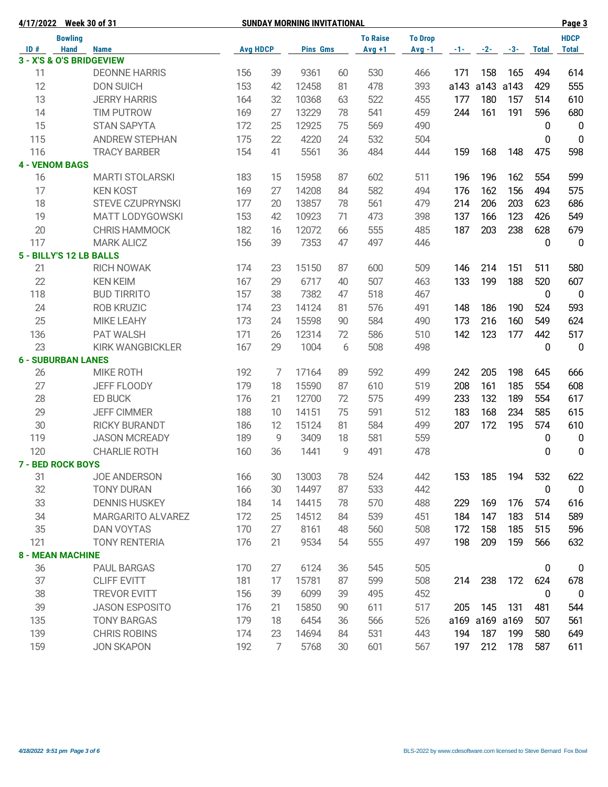|     | 4/17/2022 Week 30 of 31   |                         |     |                 | <b>SUNDAY MORNING INVITATIONAL</b> |    |          |          |          |       | Page 3    |              |                |
|-----|---------------------------|-------------------------|-----|-----------------|------------------------------------|----|----------|----------|----------|-------|-----------|--------------|----------------|
|     | <b>Bowling</b>            |                         |     | <b>To Raise</b> |                                    |    |          |          |          |       |           |              | <b>HDCP</b>    |
| ID# | <b>Hand</b>               | <b>Name</b>             |     | <b>Avg HDCP</b> | <b>Pins Gms</b>                    |    | $Avg +1$ | $Avg -1$ | $-1 - 1$ | $-2-$ | $-3-$     | <b>Total</b> | <b>Total</b>   |
|     | 3 - X'S & O'S BRIDGEVIEW  |                         |     |                 |                                    |    |          |          |          |       |           |              |                |
| 11  |                           | <b>DEONNE HARRIS</b>    | 156 | 39              | 9361                               | 60 | 530      | 466      | 171      | 158   | 165       | 494          | 614            |
| 12  |                           | <b>DON SUICH</b>        | 153 | 42              | 12458                              | 81 | 478      | 393      | a143     | a143  | a143      | 429          | 555            |
| 13  |                           | <b>JERRY HARRIS</b>     | 164 | 32              | 10368                              | 63 | 522      | 455      | 177      | 180   | 157       | 514          | 610            |
| 14  |                           | <b>TIM PUTROW</b>       | 169 | 27              | 13229                              | 78 | 541      | 459      | 244      | 161   | 191       | 596          | 680            |
| 15  |                           | <b>STAN SAPYTA</b>      | 172 | 25              | 12925                              | 75 | 569      | 490      |          |       |           | 0            | $\overline{0}$ |
| 115 |                           | <b>ANDREW STEPHAN</b>   | 175 | 22              | 4220                               | 24 | 532      | 504      |          |       |           | 0            | $\overline{0}$ |
| 116 |                           | <b>TRACY BARBER</b>     | 154 | 41              | 5561                               | 36 | 484      | 444      | 159      | 168   | 148       | 475          | 598            |
|     | <b>4 - VENOM BAGS</b>     |                         |     |                 |                                    |    |          |          |          |       |           |              |                |
| 16  |                           | <b>MARTI STOLARSKI</b>  | 183 | 15              | 15958                              | 87 | 602      | 511      | 196      | 196   | 162       | 554          | 599            |
| 17  |                           | <b>KEN KOST</b>         | 169 | 27              | 14208                              | 84 | 582      | 494      | 176      | 162   | 156       | 494          | 575            |
| 18  |                           | <b>STEVE CZUPRYNSKI</b> | 177 | 20              | 13857                              | 78 | 561      | 479      | 214      | 206   | 203       | 623          | 686            |
| 19  |                           | <b>MATT LODYGOWSKI</b>  | 153 | 42              | 10923                              | 71 | 473      | 398      | 137      | 166   | 123       | 426          | 549            |
| 20  |                           | <b>CHRIS HAMMOCK</b>    | 182 | 16              | 12072                              | 66 | 555      | 485      | 187      | 203   | 238       | 628          | 679            |
| 117 |                           | <b>MARK ALICZ</b>       | 156 | 39              | 7353                               | 47 | 497      | 446      |          |       |           | 0            | $\overline{0}$ |
|     | 5 - BILLY'S 12 LB BALLS   |                         |     |                 |                                    |    |          |          |          |       |           |              |                |
| 21  |                           | <b>RICH NOWAK</b>       | 174 | 23              | 15150                              | 87 | 600      | 509      | 146      | 214   | 151       | 511          | 580            |
| 22  |                           | <b>KEN KEIM</b>         | 167 | 29              | 6717                               | 40 | 507      | 463      | 133      | 199   | 188       | 520          | 607            |
| 118 |                           | <b>BUD TIRRITO</b>      | 157 | 38              | 7382                               | 47 | 518      | 467      |          |       |           | 0            | $\mathbf 0$    |
| 24  |                           | <b>ROB KRUZIC</b>       | 174 | 23              | 14124                              | 81 | 576      | 491      | 148      | 186   | 190       | 524          | 593            |
| 25  |                           | <b>MIKE LEAHY</b>       | 173 | 24              | 15598                              | 90 | 584      | 490      | 173      | 216   | 160       | 549          | 624            |
| 136 |                           | PAT WALSH               | 171 | 26              | 12314                              | 72 | 586      | 510      | 142      | 123   | 177       | 442          | 517            |
| 23  |                           | <b>KIRK WANGBICKLER</b> | 167 | 29              | 1004                               | 6  | 508      | 498      |          |       |           | 0            | $\overline{0}$ |
|     | <b>6 - SUBURBAN LANES</b> |                         |     |                 |                                    |    |          |          |          |       |           |              |                |
| 26  |                           | <b>MIKE ROTH</b>        | 192 | $\overline{7}$  | 17164                              | 89 | 592      | 499      | 242      | 205   | 198       | 645          | 666            |
| 27  |                           | JEFF FLOODY             | 179 | 18              | 15590                              | 87 | 610      | 519      | 208      | 161   | 185       | 554          | 608            |
| 28  |                           | ED BUCK                 | 176 | 21              | 12700                              | 72 | 575      | 499      | 233      | 132   | 189       | 554          | 617            |
| 29  |                           | <b>JEFF CIMMER</b>      | 188 | 10              | 14151                              | 75 | 591      | 512      | 183      | 168   | 234       | 585          | 615            |
| 30  |                           | <b>RICKY BURANDT</b>    | 186 | 12              | 15124                              | 81 | 584      | 499      | 207      | 172   | 195       | 574          | 610            |
| 119 |                           | <b>JASON MCREADY</b>    | 189 | 9               | 3409                               | 18 | 581      | 559      |          |       |           | 0            | 0              |
| 120 |                           | <b>CHARLIE ROTH</b>     | 160 | 36              | 1441                               | 9  | 491      | 478      |          |       |           | 0            | $\mathbf 0$    |
|     | <b>7 - BED ROCK BOYS</b>  |                         |     |                 |                                    |    |          |          |          |       |           |              |                |
| 31  |                           | <b>JOE ANDERSON</b>     | 166 | 30              | 13003                              | 78 | 524      | 442      | 153      | 185   | 194       | 532          | 622            |
| 32  |                           | <b>TONY DURAN</b>       | 166 | 30              | 14497                              | 87 | 533      | 442      |          |       |           | 0            | $\mathbf 0$    |
| 33  |                           | <b>DENNIS HUSKEY</b>    | 184 | 14              | 14415                              | 78 | 570      | 488      | 229      | 169   | 176       | 574          | 616            |
| 34  |                           | MARGARITO ALVAREZ       | 172 | 25              | 14512                              | 84 | 539      | 451      | 184      | 147   | 183       | 514          | 589            |
| 35  |                           | <b>DAN VOYTAS</b>       | 170 | 27              | 8161                               | 48 | 560      | 508      | 172      | 158   | 185       | 515          | 596            |
|     |                           |                         |     |                 | 9534                               | 54 |          |          |          |       | 159       |              |                |
| 121 |                           | <b>TONY RENTERIA</b>    | 176 | 21              |                                    |    | 555      | 497      | 198      | 209   |           | 566          | 632            |
|     | <b>8 - MEAN MACHINE</b>   | <b>PAUL BARGAS</b>      |     | 27              | 6124                               |    |          |          |          |       |           |              |                |
| 36  |                           |                         | 170 |                 |                                    | 36 | 545      | 505      |          |       |           | 0            | 0              |
| 37  |                           | <b>CLIFF EVITT</b>      | 181 | 17              | 15781                              | 87 | 599      | 508      | 214      | 238   | 172       | 624          | 678            |
| 38  |                           | <b>TREVOR EVITT</b>     | 156 | 39              | 6099                               | 39 | 495      | 452      |          |       |           | 0            | $\mathbf 0$    |
| 39  |                           | <b>JASON ESPOSITO</b>   | 176 | 21              | 15850                              | 90 | 611      | 517      | 205      | 145   | 131       | 481          | 544            |
| 135 |                           | <b>TONY BARGAS</b>      | 179 | 18              | 6454                               | 36 | 566      | 526      | a169     |       | a169 a169 | 507          | 561            |
| 139 |                           | <b>CHRIS ROBINS</b>     | 174 | 23              | 14694                              | 84 | 531      | 443      | 194      | 187   | 199       | 580          | 649            |
| 159 |                           | <b>JON SKAPON</b>       | 192 | $\overline{7}$  | 5768                               | 30 | 601      | 567      | 197      | 212   | 178       | 587          | 611            |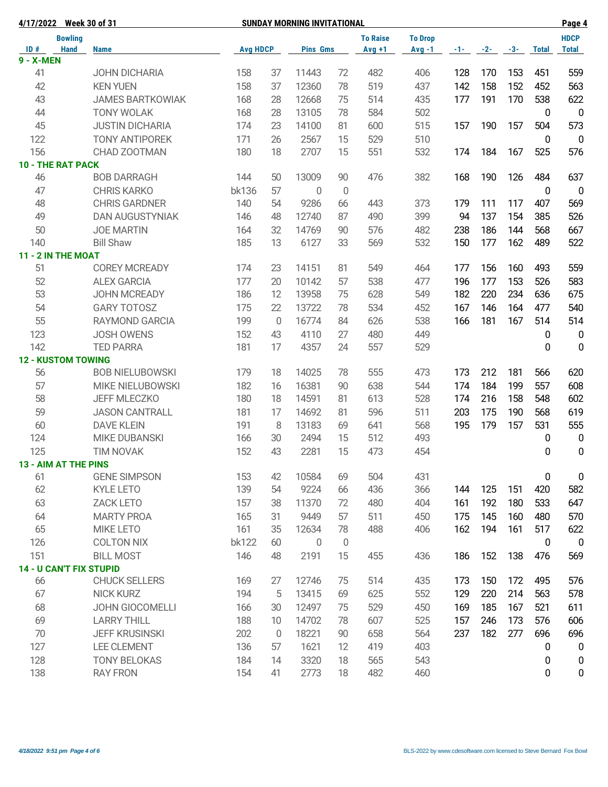| 4/17/2022 Week 30 of 31   |                |                                |                 | <b>SUNDAY MORNING INVITATIONAL</b> |                 |                |                 | Page 4         |       |       |       |              |                  |
|---------------------------|----------------|--------------------------------|-----------------|------------------------------------|-----------------|----------------|-----------------|----------------|-------|-------|-------|--------------|------------------|
|                           | <b>Bowling</b> |                                |                 |                                    |                 |                | <b>To Raise</b> | <b>To Drop</b> |       |       |       |              | <b>HDCP</b>      |
| ID#                       | <b>Hand</b>    | <b>Name</b>                    | <b>Avg HDCP</b> |                                    | <b>Pins Gms</b> |                | $Avg +1$        | $Avg -1$       | $-1-$ | $-2-$ | $-3-$ | <b>Total</b> | <b>Total</b>     |
| <b>9 - X-MEN</b>          |                |                                |                 |                                    |                 |                |                 |                |       |       |       |              |                  |
| 41                        |                | <b>JOHN DICHARIA</b>           | 158             | 37                                 | 11443           | 72             | 482             | 406            | 128   | 170   | 153   | 451          | 559              |
| 42                        |                | <b>KEN YUEN</b>                | 158             | 37                                 | 12360           | 78             | 519             | 437            | 142   | 158   | 152   | 452          | 563              |
| 43                        |                | <b>JAMES BARTKOWIAK</b>        | 168             | 28                                 | 12668           | 75             | 514             | 435            | 177   | 191   | 170   | 538          | 622              |
| 44                        |                | <b>TONY WOLAK</b>              | 168             | 28                                 | 13105           | 78             | 584             | 502            |       |       |       | 0            | $\mathbf 0$      |
| 45                        |                | <b>JUSTIN DICHARIA</b>         | 174             | 23                                 | 14100           | 81             | 600             | 515            | 157   | 190   | 157   | 504          | 573              |
| 122                       |                | <b>TONY ANTIPOREK</b>          | 171             | 26                                 | 2567            | 15             | 529             | 510            |       |       |       | $\mathbf 0$  | $\overline{0}$   |
| 156                       |                | CHAD ZOOTMAN                   | 180             | 18                                 | 2707            | 15             | 551             | 532            | 174   | 184   | 167   | 525          | 576              |
| <b>10 - THE RAT PACK</b>  |                |                                |                 |                                    |                 |                |                 |                |       |       |       |              |                  |
| 46                        |                | <b>BOB DARRAGH</b>             | 144             | 50                                 | 13009           | 90             | 476             | 382            | 168   | 190   | 126   | 484          | 637              |
| 47                        |                | <b>CHRIS KARKO</b>             | bk136           | 57                                 | $\mathbf 0$     | $\overline{0}$ |                 |                |       |       |       | 0            | $\overline{0}$   |
| 48                        |                | <b>CHRIS GARDNER</b>           | 140             | 54                                 | 9286            | 66             | 443             | 373            | 179   | 111   | 117   | 407          | 569              |
| 49                        |                | <b>DAN AUGUSTYNIAK</b>         | 146             | 48                                 | 12740           | 87             | 490             | 399            | 94    | 137   | 154   | 385          | 526              |
| 50                        |                | <b>JOE MARTIN</b>              | 164             | 32                                 | 14769           | 90             | 576             | 482            | 238   | 186   | 144   | 568          | 667              |
| 140                       |                | <b>Bill Shaw</b>               | 185             | 13                                 | 6127            | 33             | 569             | 532            | 150   | 177   | 162   | 489          | 522              |
| 11 - 2 IN THE MOAT        |                |                                |                 |                                    |                 |                |                 |                |       |       |       |              |                  |
| 51                        |                | <b>COREY MCREADY</b>           | 174             | 23                                 | 14151           | 81             | 549             | 464            | 177   | 156   | 160   | 493          | 559              |
| 52                        |                | <b>ALEX GARCIA</b>             | 177             | 20                                 | 10142           | 57             | 538             | 477            | 196   | 177   | 153   | 526          | 583              |
| 53                        |                | JOHN MCREADY                   | 186             | 12                                 | 13958           | 75             | 628             | 549            | 182   | 220   | 234   | 636          | 675              |
| 54                        |                | <b>GARY TOTOSZ</b>             | 175             | 22                                 | 13722           | 78             | 534             | 452            | 167   | 146   | 164   | 477          | 540              |
| 55                        |                | <b>RAYMOND GARCIA</b>          | 199             | $\overline{0}$                     | 16774           | 84             | 626             | 538            | 166   | 181   | 167   | 514          | 514              |
| 123                       |                | <b>JOSH OWENS</b>              | 152             | 43                                 | 4110            | 27             | 480             | 449            |       |       |       | 0            | $\mathbf 0$      |
| 142                       |                | <b>TED PARRA</b>               | 181             | 17                                 | 4357            | 24             | 557             | 529            |       |       |       | 0            | $\mathbf 0$      |
| <b>12 - KUSTOM TOWING</b> |                |                                |                 |                                    |                 |                |                 |                |       |       |       |              |                  |
| 56                        |                | <b>BOB NIELUBOWSKI</b>         | 179             | 18                                 | 14025           | 78             | 555             | 473            | 173   | 212   | 181   | 566          | 620              |
| 57                        |                | MIKE NIELUBOWSKI               | 182             | 16                                 | 16381           | 90             | 638             | 544            | 174   | 184   | 199   | 557          | 608              |
| 58                        |                | <b>JEFF MLECZKO</b>            | 180             | 18                                 | 14591           | 81             | 613             | 528            | 174   | 216   | 158   | 548          | 602              |
| 59                        |                | <b>JASON CANTRALL</b>          | 181             | 17                                 | 14692           | 81             | 596             | 511            | 203   | 175   | 190   | 568          | 619              |
| 60                        |                | <b>DAVE KLEIN</b>              | 191             | 8                                  | 13183           | 69             | 641             | 568            | 195   | 179   | 157   | 531          | 555              |
| 124                       |                | <b>MIKE DUBANSKI</b>           | 166             | 30                                 | 2494            | 15             | 512             | 493            |       |       |       | 0            | $\mathbf 0$      |
| 125                       |                | <b>TIM NOVAK</b>               | 152             | 43                                 | 2281            | 15             | 473             | 454            |       |       |       | 0            | $\mathbf 0$      |
| 13 - AIM AT THE PINS      |                |                                |                 |                                    |                 |                |                 |                |       |       |       |              |                  |
| 61                        |                | <b>GENE SIMPSON</b>            | 153             | 42                                 | 10584           | 69             | 504             | 431            |       |       |       | 0            | $\pmb{0}$        |
| 62                        |                | KYLE LETO                      | 139             | 54                                 | 9224            | 66             | 436             | 366            | 144   | 125   | 151   | 420          | 582              |
| 63                        |                | <b>ZACK LETO</b>               | 157             | 38                                 | 11370           | 72             | 480             | 404            | 161   | 192   | 180   | 533          | 647              |
| 64                        |                | <b>MARTY PROA</b>              | 165             | 31                                 | 9449            | 57             | 511             | 450            | 175   | 145   | 160   | 480          | 570              |
| 65                        |                | MIKE LETO                      | 161             | 35                                 | 12634           | 78             | 488             | 406            | 162   | 194   | 161   | 517          | 622              |
| 126                       |                | <b>COLTON NIX</b>              | <b>bk122</b>    | 60                                 | $\overline{0}$  | $\overline{0}$ |                 |                |       |       |       | $\mathbf 0$  | $\mathbf 0$      |
| 151                       |                | <b>BILL MOST</b>               | 146             | 48                                 | 2191            | 15             | 455             | 436            | 186   | 152   | 138   | 476          | 569              |
|                           |                | <b>14 - U CAN'T FIX STUPID</b> |                 |                                    |                 |                |                 |                |       |       |       |              |                  |
| 66                        |                | <b>CHUCK SELLERS</b>           | 169             | 27                                 | 12746           | 75             | 514             | 435            | 173   | 150   | 172   | 495          | 576              |
| 67                        |                | <b>NICK KURZ</b>               | 194             | 5                                  | 13415           | 69             | 625             | 552            | 129   | 220   | 214   | 563          | 578              |
| 68                        |                | JOHN GIOCOMELLI                | 166             | 30                                 | 12497           | 75             | 529             | 450            | 169   | 185   | 167   | 521          | 611              |
| 69                        |                | <b>LARRY THILL</b>             | 188             | 10                                 | 14702           | 78             | 607             | 525            | 157   | 246   | 173   | 576          | 606              |
| 70                        |                | <b>JEFF KRUSINSKI</b>          | 202             | $\overline{0}$                     | 18221           | 90             | 658             | 564            | 237   | 182   | 277   | 696          | 696              |
| 127                       |                | <b>LEE CLEMENT</b>             | 136             | 57                                 | 1621            | 12             | 419             | 403            |       |       |       | 0            | $\boldsymbol{0}$ |
| 128                       |                | <b>TONY BELOKAS</b>            | 184             | 14                                 | 3320            | 18             | 565             | 543            |       |       |       | 0            | $\boldsymbol{0}$ |
| 138                       |                | <b>RAY FRON</b>                | 154             | 41                                 | 2773            | 18             | 482             | 460            |       |       |       | 0            | $\mathbf 0$      |
|                           |                |                                |                 |                                    |                 |                |                 |                |       |       |       |              |                  |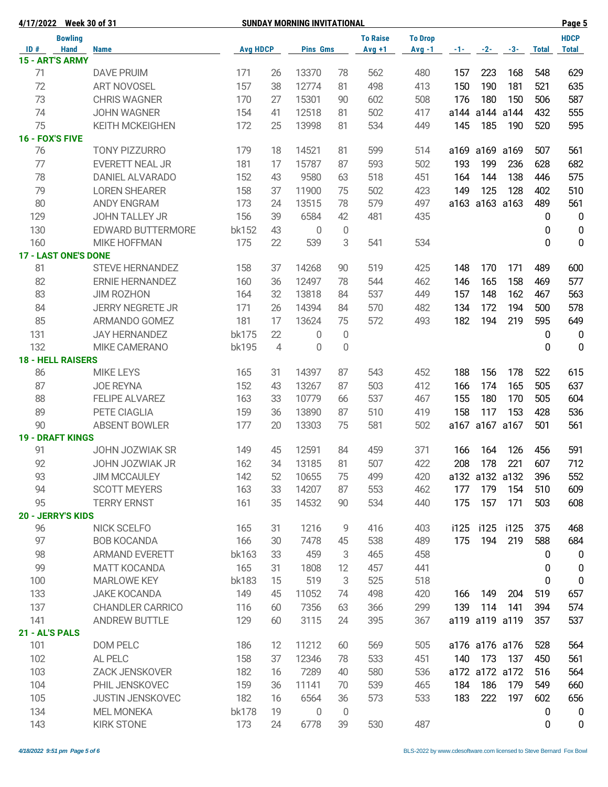| 4/17/2022                   | <b>Week 30 of 31</b>     |                 |                | <b>SUNDAY MORNING INVITATIONAL</b> |                |                 |                |          | Page 5         |           |              |                  |
|-----------------------------|--------------------------|-----------------|----------------|------------------------------------|----------------|-----------------|----------------|----------|----------------|-----------|--------------|------------------|
| <b>Bowling</b>              |                          |                 |                |                                    |                | <b>To Raise</b> | <b>To Drop</b> |          |                |           |              | <b>HDCP</b>      |
| ID#<br><b>Hand</b>          | <b>Name</b>              | <b>Avg HDCP</b> |                | <b>Pins Gms</b>                    |                | $Avg +1$        | $Avg -1$       | $-1 - 1$ | $-2-$          | $-3-$     | <b>Total</b> | <b>Total</b>     |
| 15 - ART'S ARMY             |                          |                 |                |                                    |                |                 |                |          |                |           |              |                  |
| 71                          | <b>DAVE PRUIM</b>        | 171             | 26             | 13370                              | 78             | 562             | 480            | 157      | 223            | 168       | 548          | 629              |
| 72                          | <b>ART NOVOSEL</b>       | 157             | 38             | 12774                              | 81             | 498             | 413            | 150      | 190            | 181       | 521          | 635              |
| 73                          | <b>CHRIS WAGNER</b>      | 170             | 27             | 15301                              | 90             | 602             | 508            | 176      | 180            | 150       | 506          | 587              |
| 74                          | <b>JOHN WAGNER</b>       | 154             | 41             | 12518                              | 81             | 502             | 417            |          | a144 a144 a144 |           | 432          | 555              |
| 75                          | <b>KEITH MCKEIGHEN</b>   | 172             | 25             | 13998                              | 81             | 534             | 449            | 145      | 185            | 190       | 520          | 595              |
| 16 - FOX'S FIVE             |                          |                 |                |                                    |                |                 |                |          |                |           |              |                  |
| 76                          | <b>TONY PIZZURRO</b>     | 179             | 18             | 14521                              | 81             | 599             | 514            |          | a169 a169 a169 |           | 507          | 561              |
| 77                          | <b>EVERETT NEAL JR</b>   | 181             | 17             | 15787                              | 87             | 593             | 502            | 193      | 199            | 236       | 628          | 682              |
| 78                          | DANIEL ALVARADO          | 152             | 43             | 9580                               | 63             | 518             | 451            | 164      | 144            | 138       | 446          | 575              |
| 79                          | <b>LOREN SHEARER</b>     | 158             | 37             | 11900                              | 75             | 502             | 423            | 149      | 125            | 128       | 402          | 510              |
| 80                          | <b>ANDY ENGRAM</b>       | 173             | 24             | 13515                              | 78             | 579             | 497            |          | a163 a163 a163 |           | 489          | 561              |
| 129                         | JOHN TALLEY JR           | 156             | 39             | 6584                               | 42             | 481             | 435            |          |                |           | 0            | $\mathbf 0$      |
| 130                         | <b>EDWARD BUTTERMORE</b> | bk152           | 43             | $\mathbf 0$                        | 0              |                 |                |          |                |           | 0            | $\pmb{0}$        |
| 160                         | <b>MIKE HOFFMAN</b>      | 175             | 22             | 539                                | 3              | 541             | 534            |          |                |           | 0            | $\mathbf 0$      |
| <b>17 - LAST ONE'S DONE</b> |                          |                 |                |                                    |                |                 |                |          |                |           |              |                  |
| 81                          | <b>STEVE HERNANDEZ</b>   | 158             | 37             | 14268                              | 90             | 519             | 425            | 148      | 170            | 171       | 489          | 600              |
| 82                          | <b>ERNIE HERNANDEZ</b>   | 160             | 36             | 12497                              | 78             | 544             | 462            | 146      | 165            | 158       | 469          | 577              |
| 83                          | <b>JIM ROZHON</b>        | 164             | 32             | 13818                              | 84             | 537             | 449            | 157      | 148            | 162       | 467          | 563              |
| 84                          | <b>JERRY NEGRETE JR</b>  | 171             | 26             | 14394                              |                | 570             | 482            | 134      | 172            | 194       | 500          | 578              |
|                             |                          |                 |                |                                    | 84             |                 |                |          |                |           |              |                  |
| 85                          | ARMANDO GOMEZ            | 181             | 17             | 13624                              | 75             | 572             | 493            | 182      | 194            | 219       | 595          | 649              |
| 131                         | <b>JAY HERNANDEZ</b>     | bk175           | 22             | 0                                  | 0              |                 |                |          |                |           | 0            | $\mathbf 0$      |
| 132                         | MIKE CAMERANO            | bk195           | $\overline{4}$ | 0                                  | $\overline{0}$ |                 |                |          |                |           | 0            | $\mathbf 0$      |
| <b>18 - HELL RAISERS</b>    |                          |                 |                |                                    |                |                 |                |          |                |           |              |                  |
| 86                          | <b>MIKE LEYS</b>         | 165             | 31             | 14397                              | 87             | 543             | 452            | 188      | 156            | 178       | 522          | 615              |
| 87                          | <b>JOE REYNA</b>         | 152             | 43             | 13267                              | 87             | 503             | 412            | 166      | 174            | 165       | 505          | 637              |
| 88                          | <b>FELIPE ALVAREZ</b>    | 163             | 33             | 10779                              | 66             | 537             | 467            | 155      | 180            | 170       | 505          | 604              |
| 89                          | PETE CIAGLIA             | 159             | 36             | 13890                              | 87             | 510             | 419            | 158      | 117            | 153       | 428          | 536              |
| 90                          | <b>ABSENT BOWLER</b>     | 177             | 20             | 13303                              | 75             | 581             | 502            | a167     | a167 a167      |           | 501          | 561              |
| <b>19 - DRAFT KINGS</b>     |                          |                 |                |                                    |                |                 |                |          |                |           |              |                  |
| 91                          | <b>JOHN JOZWIAK SR</b>   | 149             | 45             | 12591                              | 84             | 459             | 371            | 166      | 164            | 126       | 456          | 591              |
| 92                          | JOHN JOZWIAK JR          | 162             | 34             | 13185                              | 81             | 507             | 422            | 208      | 178            | 221       | 607          | 712              |
| 93                          | <b>JIM MCCAULEY</b>      | 142             | 52             | 10655                              | 75             | 499             | 420            |          | a132 a132 a132 |           | 396          | 552              |
| 94                          | <b>SCOTT MEYERS</b>      | 163             | 33             | 14207                              | 87             | 553             | 462            | 177      | 179            | 154       | 510          | 609              |
| 95                          | <b>TERRY ERNST</b>       | 161             | 35             | 14532                              | 90             | 534             | 440            | 175      | 157            | 171       | 503          | 608              |
| 20 - JERRY'S KIDS           |                          |                 |                |                                    |                |                 |                |          |                |           |              |                  |
| 96                          | NICK SCELFO              | 165             | 31             | 1216                               | 9              | 416             | 403            | i125     |                | i125 i125 | 375          | 468              |
| 97                          | <b>BOB KOCANDA</b>       | 166             | 30             | 7478                               | 45             | 538             | 489            | 175      | 194            | 219       | 588          | 684              |
| 98                          | <b>ARMAND EVERETT</b>    | bk163           | 33             | 459                                | 3              | 465             | 458            |          |                |           | 0            | $\mathbf 0$      |
| 99                          | <b>MATT KOCANDA</b>      | 165             | 31             | 1808                               | 12             | 457             | 441            |          |                |           | 0            | $\boldsymbol{0}$ |
| 100                         | <b>MARLOWE KEY</b>       | <b>bk183</b>    | 15             | 519                                | 3              | 525             | 518            |          |                |           | 0            | $\mathbf 0$      |
| 133                         | <b>JAKE KOCANDA</b>      | 149             | 45             | 11052                              | 74             | 498             | 420            | 166      | 149            | 204       | 519          | 657              |
| 137                         | <b>CHANDLER CARRICO</b>  | 116             | 60             | 7356                               | 63             | 366             | 299            | 139      | 114            | 141       | 394          | 574              |
| 141                         | <b>ANDREW BUTTLE</b>     | 129             | 60             | 3115                               | 24             | 395             | 367            |          | a119 a119 a119 |           | 357          | 537              |
| 21 - AL'S PALS              |                          |                 |                |                                    |                |                 |                |          |                |           |              |                  |
| 101                         | DOM PELC                 | 186             | 12             | 11212                              | 60             | 569             | 505            |          | a176 a176 a176 |           | 528          | 564              |
| 102                         | AL PELC                  | 158             | 37             | 12346                              | 78             | 533             | 451            | 140      | 173            | 137       | 450          | 561              |
| 103                         | <b>ZACK JENSKOVER</b>    | 182             | 16             | 7289                               | 40             | 580             | 536            |          | a172 a172 a172 |           | 516          | 564              |
| 104                         | PHIL JENSKOVEC           | 159             | 36             | 11141                              | 70             | 539             | 465            | 184      | 186            | 179       | 549          | 660              |
| 105                         | <b>JUSTIN JENSKOVEC</b>  | 182             | 16             | 6564                               | 36             | 573             | 533            | 183      | 222            | 197       | 602          | 656              |
| 134                         | <b>MEL MONEKA</b>        | bk178           | 19             | $\overline{0}$                     | $\overline{0}$ |                 |                |          |                |           | 0            | 0                |
| 143                         | <b>KIRK STONE</b>        | 173             | 24             | 6778                               | 39             | 530             | 487            |          |                |           | 0            | $\pmb{0}$        |
|                             |                          |                 |                |                                    |                |                 |                |          |                |           |              |                  |